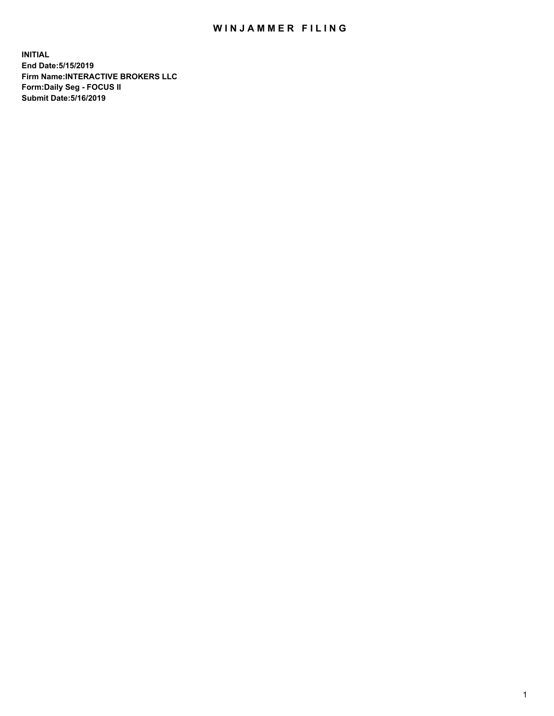## WIN JAMMER FILING

**INITIAL End Date:5/15/2019 Firm Name:INTERACTIVE BROKERS LLC Form:Daily Seg - FOCUS II Submit Date:5/16/2019**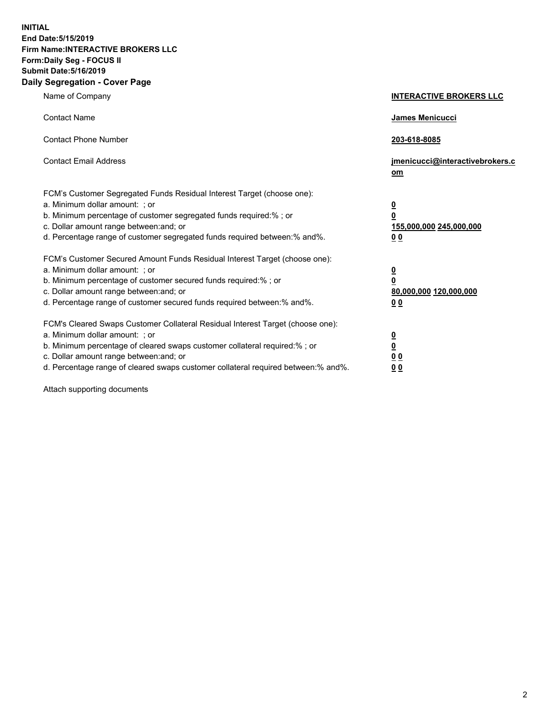**INITIAL End Date:5/15/2019 Firm Name:INTERACTIVE BROKERS LLC Form:Daily Seg - FOCUS II Submit Date:5/16/2019 Daily Segregation - Cover Page**

| Name of Company                                                                                                                                                                                                                                                                                                                | <b>INTERACTIVE BROKERS LLC</b>                                                                           |
|--------------------------------------------------------------------------------------------------------------------------------------------------------------------------------------------------------------------------------------------------------------------------------------------------------------------------------|----------------------------------------------------------------------------------------------------------|
| <b>Contact Name</b>                                                                                                                                                                                                                                                                                                            | James Menicucci                                                                                          |
| <b>Contact Phone Number</b>                                                                                                                                                                                                                                                                                                    | 203-618-8085                                                                                             |
| <b>Contact Email Address</b>                                                                                                                                                                                                                                                                                                   | jmenicucci@interactivebrokers.c<br>om                                                                    |
| FCM's Customer Segregated Funds Residual Interest Target (choose one):<br>a. Minimum dollar amount: ; or<br>b. Minimum percentage of customer segregated funds required:% ; or<br>c. Dollar amount range between: and; or<br>d. Percentage range of customer segregated funds required between:% and%.                         | $\overline{\mathbf{0}}$<br>$\overline{\mathbf{0}}$<br>155,000,000 245,000,000<br>0 <sub>0</sub>          |
| FCM's Customer Secured Amount Funds Residual Interest Target (choose one):<br>a. Minimum dollar amount: ; or<br>b. Minimum percentage of customer secured funds required:%; or<br>c. Dollar amount range between: and; or<br>d. Percentage range of customer secured funds required between:% and%.                            | $\overline{\mathbf{0}}$<br>$\overline{\mathbf{0}}$<br>80,000,000 120,000,000<br>00                       |
| FCM's Cleared Swaps Customer Collateral Residual Interest Target (choose one):<br>a. Minimum dollar amount: ; or<br>b. Minimum percentage of cleared swaps customer collateral required:% ; or<br>c. Dollar amount range between: and; or<br>d. Percentage range of cleared swaps customer collateral required between:% and%. | $\overline{\mathbf{0}}$<br>$\underline{\mathbf{0}}$<br>$\underline{0}$ $\underline{0}$<br>0 <sub>0</sub> |

Attach supporting documents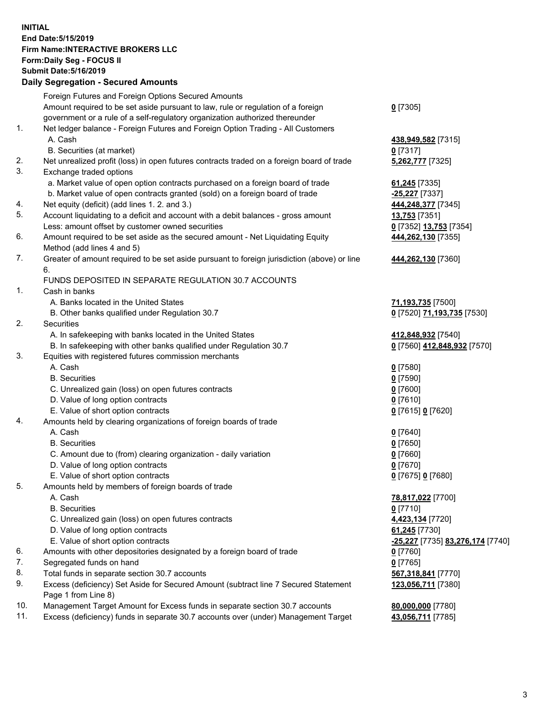## **INITIAL End Date:5/15/2019 Firm Name:INTERACTIVE BROKERS LLC Form:Daily Seg - FOCUS II Submit Date:5/16/2019 Daily Segregation - Secured Amounts**

|                | Dany Segregation - Secured Announts                                                         |                                                |
|----------------|---------------------------------------------------------------------------------------------|------------------------------------------------|
|                | Foreign Futures and Foreign Options Secured Amounts                                         |                                                |
|                | Amount required to be set aside pursuant to law, rule or regulation of a foreign            | $0$ [7305]                                     |
|                | government or a rule of a self-regulatory organization authorized thereunder                |                                                |
| $\mathbf{1}$ . | Net ledger balance - Foreign Futures and Foreign Option Trading - All Customers             |                                                |
|                | A. Cash                                                                                     | 438,949,582 [7315]                             |
|                | B. Securities (at market)                                                                   | $0$ [7317]                                     |
| 2.             | Net unrealized profit (loss) in open futures contracts traded on a foreign board of trade   | 5,262,777 [7325]                               |
| 3.             | Exchange traded options                                                                     |                                                |
|                | a. Market value of open option contracts purchased on a foreign board of trade              | 61,245 [7335]                                  |
|                | b. Market value of open contracts granted (sold) on a foreign board of trade                | -25,227 [7337]                                 |
| 4.             | Net equity (deficit) (add lines 1. 2. and 3.)                                               | 444,248,377 [7345]                             |
| 5.             | Account liquidating to a deficit and account with a debit balances - gross amount           | <b>13,753</b> [7351]                           |
|                | Less: amount offset by customer owned securities                                            | 0 [7352] 13,753 [7354]                         |
| 6.             | Amount required to be set aside as the secured amount - Net Liquidating Equity              | 444,262,130 [7355]                             |
|                | Method (add lines 4 and 5)                                                                  |                                                |
| 7.             | Greater of amount required to be set aside pursuant to foreign jurisdiction (above) or line | 444,262,130 [7360]                             |
|                | 6.                                                                                          |                                                |
|                | FUNDS DEPOSITED IN SEPARATE REGULATION 30.7 ACCOUNTS                                        |                                                |
| 1.             | Cash in banks                                                                               |                                                |
|                | A. Banks located in the United States                                                       | 71,193,735 [7500]                              |
|                | B. Other banks qualified under Regulation 30.7                                              | 0 [7520] 71,193,735 [7530]                     |
| 2.             | <b>Securities</b>                                                                           |                                                |
|                | A. In safekeeping with banks located in the United States                                   | 412,848,932 [7540]                             |
|                | B. In safekeeping with other banks qualified under Regulation 30.7                          | 0 [7560] 412,848,932 [7570]                    |
| 3.             | Equities with registered futures commission merchants                                       |                                                |
|                | A. Cash                                                                                     | $0$ [7580]                                     |
|                | <b>B.</b> Securities                                                                        | $0$ [7590]                                     |
|                | C. Unrealized gain (loss) on open futures contracts                                         | $0$ [7600]                                     |
|                | D. Value of long option contracts                                                           | $0$ [7610]                                     |
|                | E. Value of short option contracts                                                          | 0 [7615] 0 [7620]                              |
| 4.             | Amounts held by clearing organizations of foreign boards of trade                           |                                                |
|                | A. Cash                                                                                     | $0$ [7640]                                     |
|                | <b>B.</b> Securities                                                                        | $0$ [7650]                                     |
|                | C. Amount due to (from) clearing organization - daily variation                             | $0$ [7660]                                     |
|                | D. Value of long option contracts                                                           | $0$ [7670]                                     |
| 5.             | E. Value of short option contracts                                                          | 0 [7675] 0 [7680]                              |
|                | Amounts held by members of foreign boards of trade<br>A. Cash                               |                                                |
|                | <b>B.</b> Securities                                                                        | 78,817,022 [7700]<br>$0$ [7710]                |
|                | C. Unrealized gain (loss) on open futures contracts                                         | 4,423,134 [7720]                               |
|                | D. Value of long option contracts                                                           | 61,245 [7730]                                  |
|                | E. Value of short option contracts                                                          | <u>-25,227</u> [7735] <u>83,276,174</u> [7740] |
| 6.             | Amounts with other depositories designated by a foreign board of trade                      | 0 [7760]                                       |
| 7.             | Segregated funds on hand                                                                    | $0$ [7765]                                     |
| 8.             | Total funds in separate section 30.7 accounts                                               | 567,318,841 [7770]                             |
| 9.             | Excess (deficiency) Set Aside for Secured Amount (subtract line 7 Secured Statement         | 123,056,711 [7380]                             |
|                | Page 1 from Line 8)                                                                         |                                                |
| 10.            | Management Target Amount for Excess funds in separate section 30.7 accounts                 | 80,000,000 [7780]                              |
| 11.            | Excess (deficiency) funds in separate 30.7 accounts over (under) Management Target          | 43,056,711 [7785]                              |
|                |                                                                                             |                                                |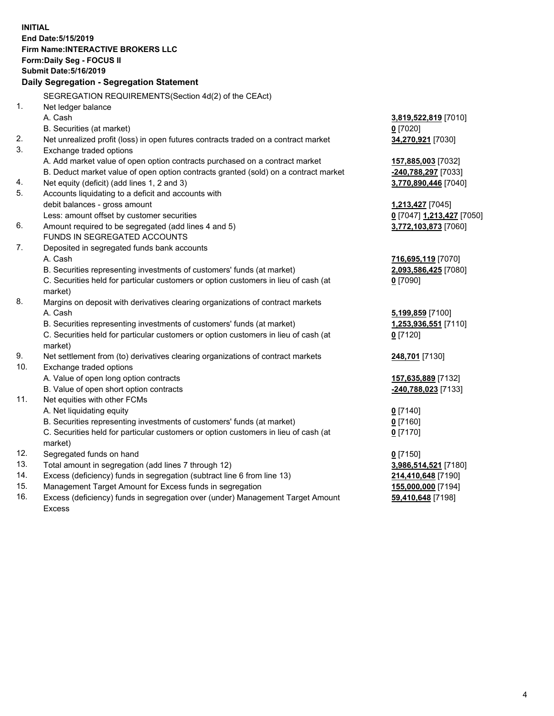**INITIAL End Date:5/15/2019 Firm Name:INTERACTIVE BROKERS LLC Form:Daily Seg - FOCUS II Submit Date:5/16/2019 Daily Segregation - Segregation Statement** SEGREGATION REQUIREMENTS(Section 4d(2) of the CEAct) 1. Net ledger balance A. Cash **3,819,522,819** [7010] B. Securities (at market) **0** [7020] 2. Net unrealized profit (loss) in open futures contracts traded on a contract market **34,270,921** [7030] 3. Exchange traded options A. Add market value of open option contracts purchased on a contract market **157,885,003** [7032] B. Deduct market value of open option contracts granted (sold) on a contract market **-240,788,297** [7033] 4. Net equity (deficit) (add lines 1, 2 and 3) **3,770,890,446** [7040] 5. Accounts liquidating to a deficit and accounts with debit balances - gross amount **1,213,427** [7045] Less: amount offset by customer securities **0** [7047] **1,213,427** [7050] 6. Amount required to be segregated (add lines 4 and 5) **3,772,103,873** [7060] FUNDS IN SEGREGATED ACCOUNTS 7. Deposited in segregated funds bank accounts A. Cash **716,695,119** [7070] B. Securities representing investments of customers' funds (at market) **2,093,586,425** [7080] C. Securities held for particular customers or option customers in lieu of cash (at market) **0** [7090] 8. Margins on deposit with derivatives clearing organizations of contract markets A. Cash **5,199,859** [7100] B. Securities representing investments of customers' funds (at market) **1,253,936,551** [7110] C. Securities held for particular customers or option customers in lieu of cash (at market) **0** [7120] 9. Net settlement from (to) derivatives clearing organizations of contract markets **248,701** [7130] 10. Exchange traded options A. Value of open long option contracts **157,635,889** [7132] B. Value of open short option contracts **-240,788,023** [7133] 11. Net equities with other FCMs A. Net liquidating equity **0** [7140] B. Securities representing investments of customers' funds (at market) **0** [7160] C. Securities held for particular customers or option customers in lieu of cash (at market) **0** [7170] 12. Segregated funds on hand **0** [7150] 13. Total amount in segregation (add lines 7 through 12) **3,986,514,521** [7180] 14. Excess (deficiency) funds in segregation (subtract line 6 from line 13) **214,410,648** [7190] 15. Management Target Amount for Excess funds in segregation **155,000,000** [7194] **59,410,648** [7198]

16. Excess (deficiency) funds in segregation over (under) Management Target Amount Excess